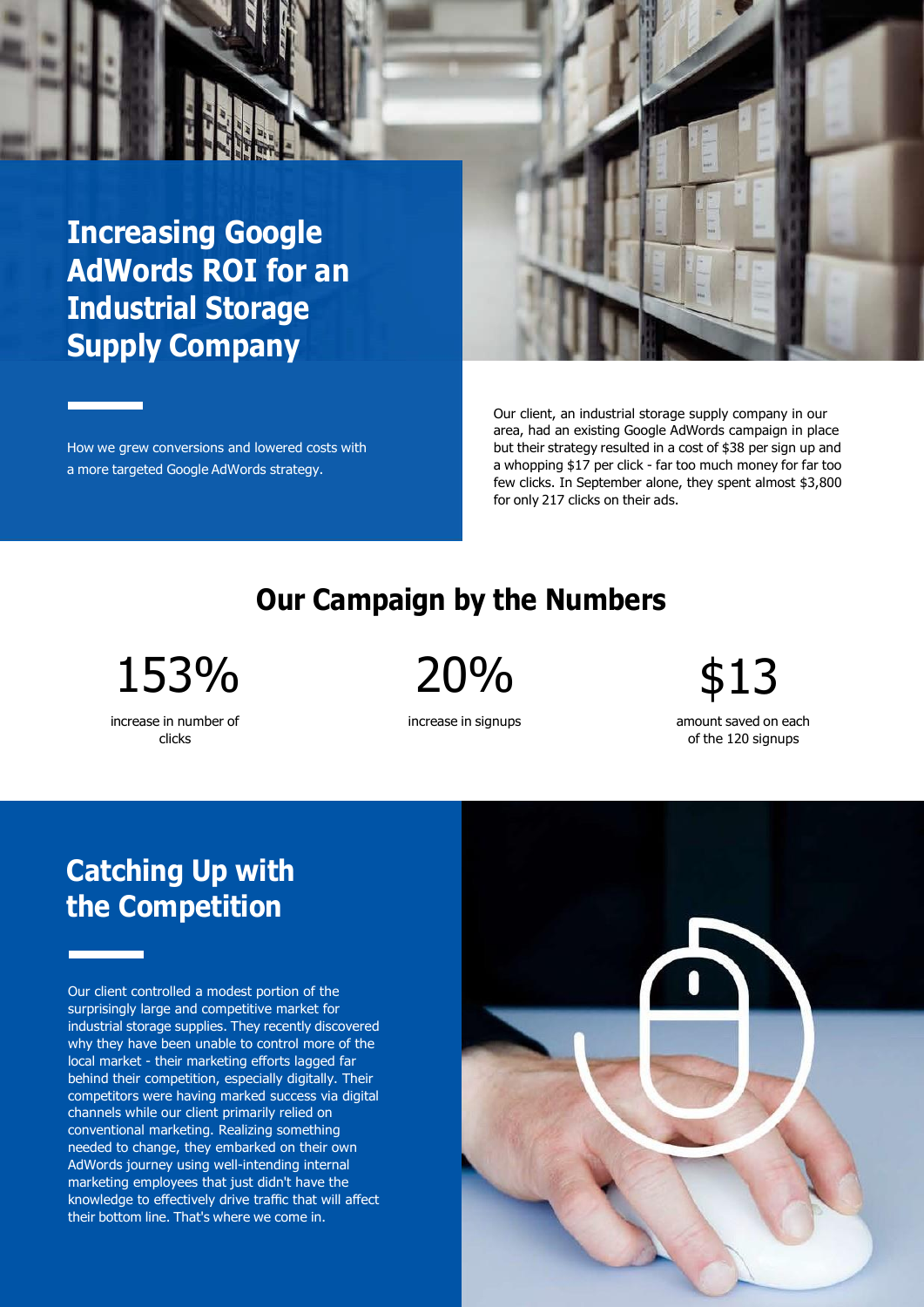**Increasing Google AdWords ROI for an Industrial Storage Supply Company**

How we grew conversions and lowered costs with a more targeted Google AdWords strategy.

Our client, an industrial storage supply company in our area, had an existing Google AdWords campaign in place but their strategy resulted in a cost of \$38 per sign up and a whopping \$17 per click - far too much money for far too few clicks. In September alone, they spent almost \$3,800 for only 217 clicks on their ads.

#### **Our Campaign by the Numbers**

153% 20% \$13

increase in number of clicks

increase in signups amount saved on each

of the 120 signups

**Catching Up with the Competition**

Our client controlled a modest portion of the surprisingly large and competitive market for industrial storage supplies. They recently discovered why they have been unable to control more of the local market - their marketing efforts lagged far behind their competition, especially digitally. Their competitors were having marked success via digital channels while our client primarily relied on conventional marketing. Realizing something needed to change, they embarked on their own AdWords journey using well-intending internal marketing employees that just didn't have the knowledge to effectively drive traffic that will affect their bottom line. That's where we come in.



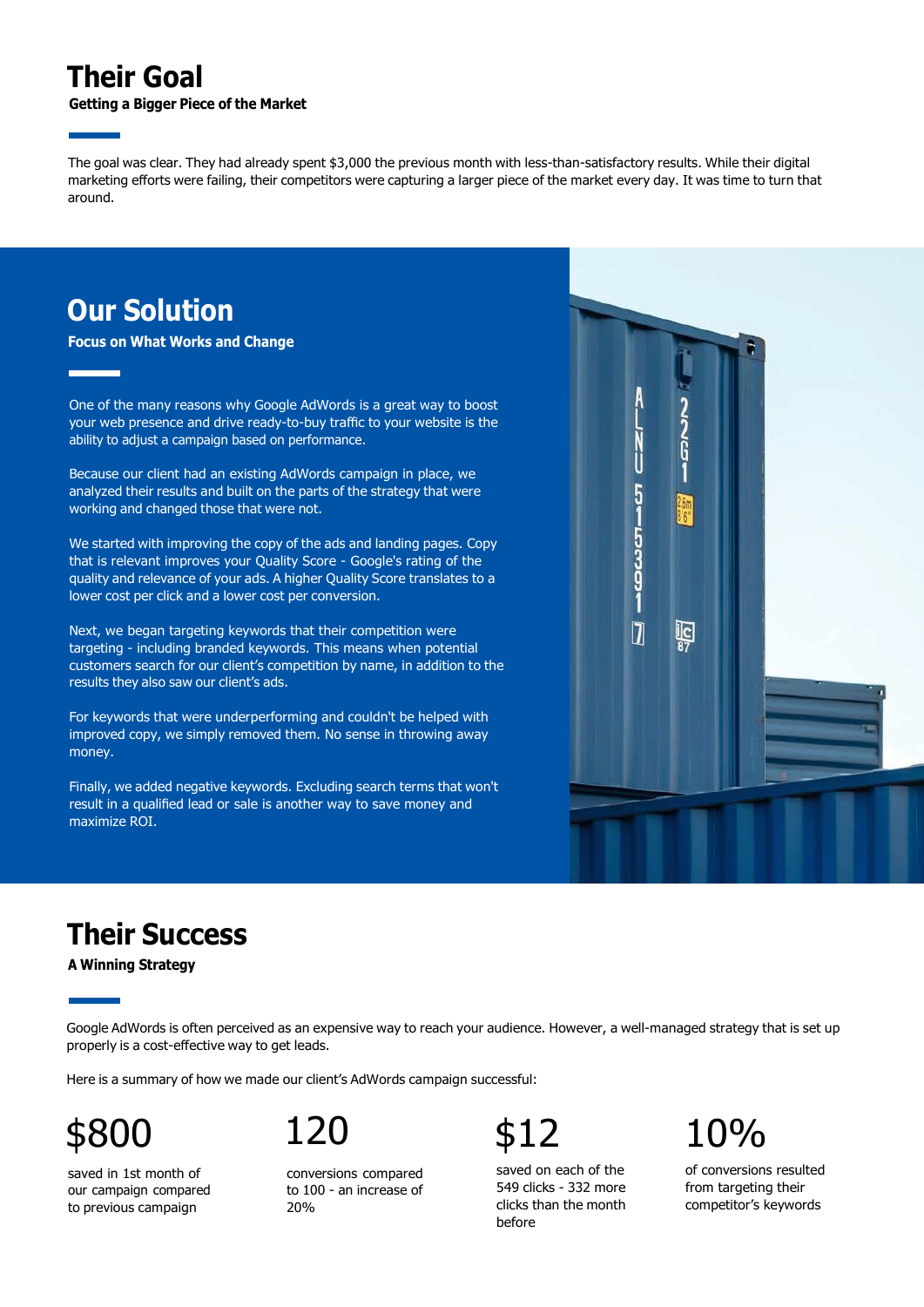# **Their Goal**

**Getting a Bigger Piece of the Market**

The goal was clear. They had already spent \$3,000 the previous month with less-than-satisfactory results. While their digital marketing efforts were failing, their competitors were capturing a larger piece of the market every day. It was time to turn that around.

#### **Our Solution**

| <b>Focus on What Works and Change</b> |  |  |
|---------------------------------------|--|--|
|                                       |  |  |

One of the many reasons why Google AdWords is a great way to boost your web presence and drive ready-to-buy traffic to your website is the ability to adjust a campaign based on performance.

Because our client had an existing AdWords campaign in place, we analyzed their results and built on the parts of the strategy that were working and changed those that were not.

We started with improving the copy of the ads and landing pages. Copy that is relevant improves your Quality Score - Google's rating of the quality and relevance of your ads. A higher Quality Score translates to a lower cost per click and a lower cost per conversion.

Next, we began targeting keywords that their competition were targeting - including branded keywords. This means when potential customers search for our client's competition by name, in addition to the results they also saw our client's ads.

For keywords that were underperforming and couldn't be helped with improved copy, we simply removed them. No sense in throwing away money.

Finally, we added negative keywords. Excluding search terms that won't result in a qualified lead or sale is another way to save money and maximize ROI.



## **Their Success**

**A Winning Strategy**

Google AdWords is often perceived as an expensive way to reach your audience. However, a well-managed strategy that is set up properly is a cost-effective way to get leads.

Here is a summary of how we made our client's AdWords campaign successful:

\$800 120 \$12 10%

saved in 1st month of our campaign compared to previous campaign

conversions compared to 100 - an increase of 20%

saved on each of the 549 clicks - 332 more clicks than the month before

of conversions resulted from targeting their competitor's keywords